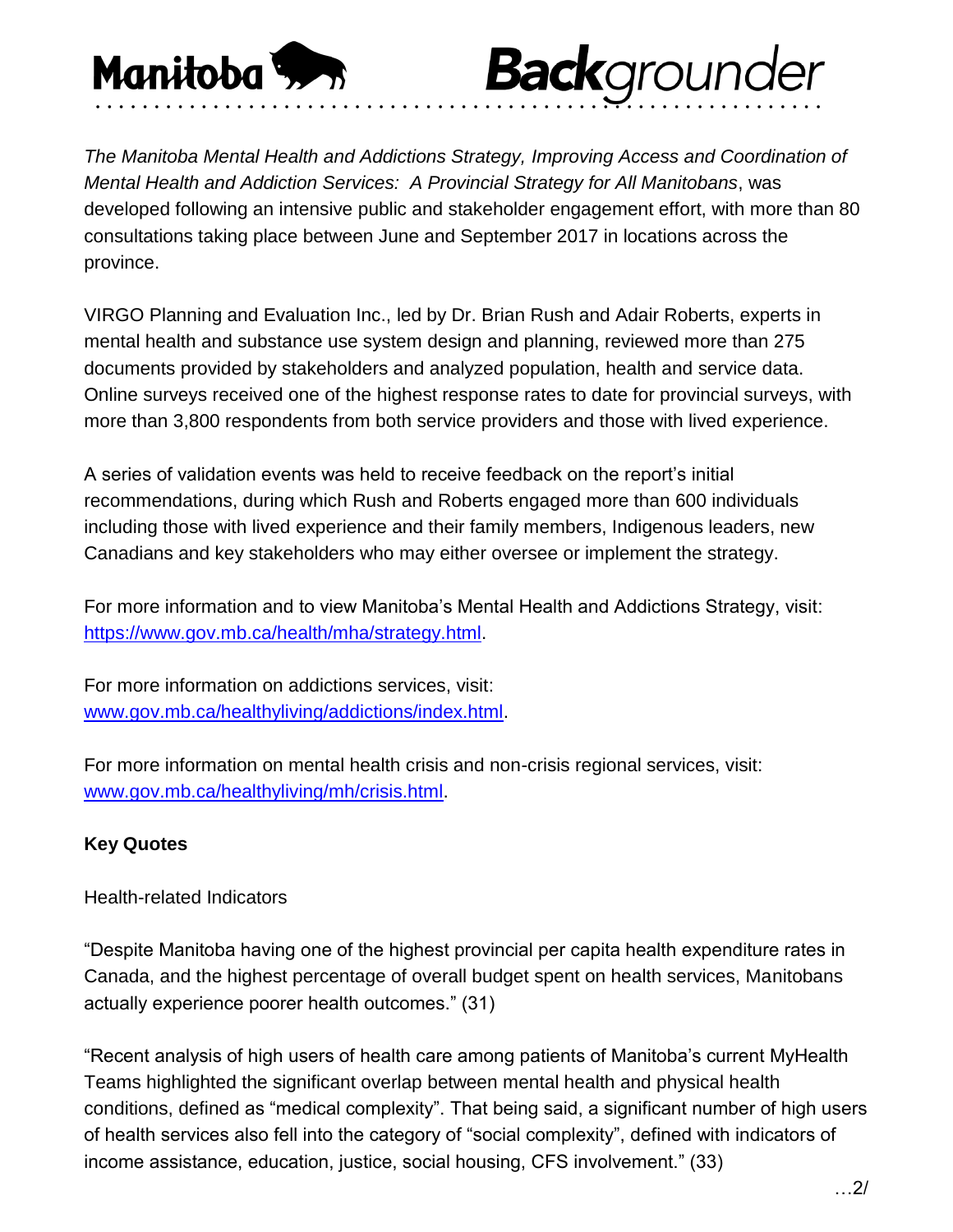

*The Manitoba Mental Health and Addictions Strategy, Improving Access and Coordination of Mental Health and Addiction Services: A Provincial Strategy for All Manitobans*, was developed following an intensive public and stakeholder engagement effort, with more than 80 consultations taking place between June and September 2017 in locations across the province.

**Back**grounder

VIRGO Planning and Evaluation Inc., led by Dr. Brian Rush and Adair Roberts, experts in mental health and substance use system design and planning, reviewed more than 275 documents provided by stakeholders and analyzed population, health and service data. Online surveys received one of the highest response rates to date for provincial surveys, with more than 3,800 respondents from both service providers and those with lived experience.

A series of validation events was held to receive feedback on the report's initial recommendations, during which Rush and Roberts engaged more than 600 individuals including those with lived experience and their family members, Indigenous leaders, new Canadians and key stakeholders who may either oversee or implement the strategy.

For more information and to view Manitoba's Mental Health and Addictions Strategy, visit: [https://www.gov.mb.ca/health/mha/strategy.html.](https://www.gov.mb.ca/health/mha/strategy.html)

For more information on addictions services, visit: [www.gov.mb.ca/healthyliving/addictions/index.html.](https://www.gov.mb.ca/healthyliving/addictions/index.html)

For more information on mental health crisis and non-crisis regional services, visit: [www.gov.mb.ca/healthyliving/mh/crisis.html.](https://www.gov.mb.ca/healthyliving/mh/crisis.html)

# **Key Quotes**

Health-related Indicators

"Despite Manitoba having one of the highest provincial per capita health expenditure rates in Canada, and the highest percentage of overall budget spent on health services, Manitobans actually experience poorer health outcomes." (31)

"Recent analysis of high users of health care among patients of Manitoba's current MyHealth Teams highlighted the significant overlap between mental health and physical health conditions, defined as "medical complexity". That being said, a significant number of high users of health services also fell into the category of "social complexity", defined with indicators of income assistance, education, justice, social housing, CFS involvement." (33)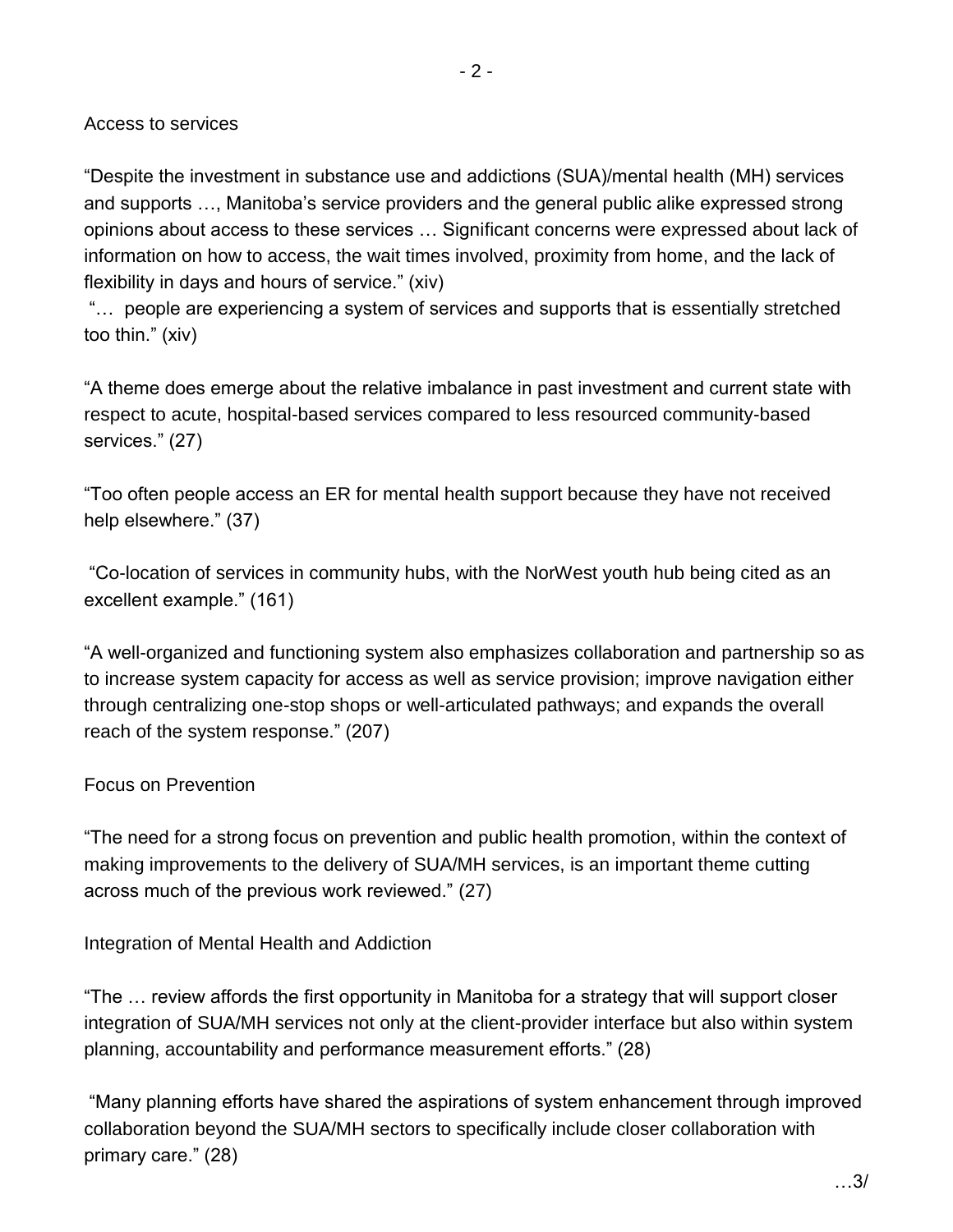"Despite the investment in substance use and addictions (SUA)/mental health (MH) services and supports …, Manitoba's service providers and the general public alike expressed strong opinions about access to these services … Significant concerns were expressed about lack of information on how to access, the wait times involved, proximity from home, and the lack of flexibility in days and hours of service." (xiv)

"… people are experiencing a system of services and supports that is essentially stretched too thin." (xiv)

"A theme does emerge about the relative imbalance in past investment and current state with respect to acute, hospital-based services compared to less resourced community-based services." (27)

"Too often people access an ER for mental health support because they have not received help elsewhere." (37)

"Co-location of services in community hubs, with the NorWest youth hub being cited as an excellent example." (161)

"A well-organized and functioning system also emphasizes collaboration and partnership so as to increase system capacity for access as well as service provision; improve navigation either through centralizing one-stop shops or well-articulated pathways; and expands the overall reach of the system response." (207)

### Focus on Prevention

"The need for a strong focus on prevention and public health promotion, within the context of making improvements to the delivery of SUA/MH services, is an important theme cutting across much of the previous work reviewed." (27)

Integration of Mental Health and Addiction

"The … review affords the first opportunity in Manitoba for a strategy that will support closer integration of SUA/MH services not only at the client-provider interface but also within system planning, accountability and performance measurement efforts." (28)

"Many planning efforts have shared the aspirations of system enhancement through improved collaboration beyond the SUA/MH sectors to specifically include closer collaboration with primary care." (28)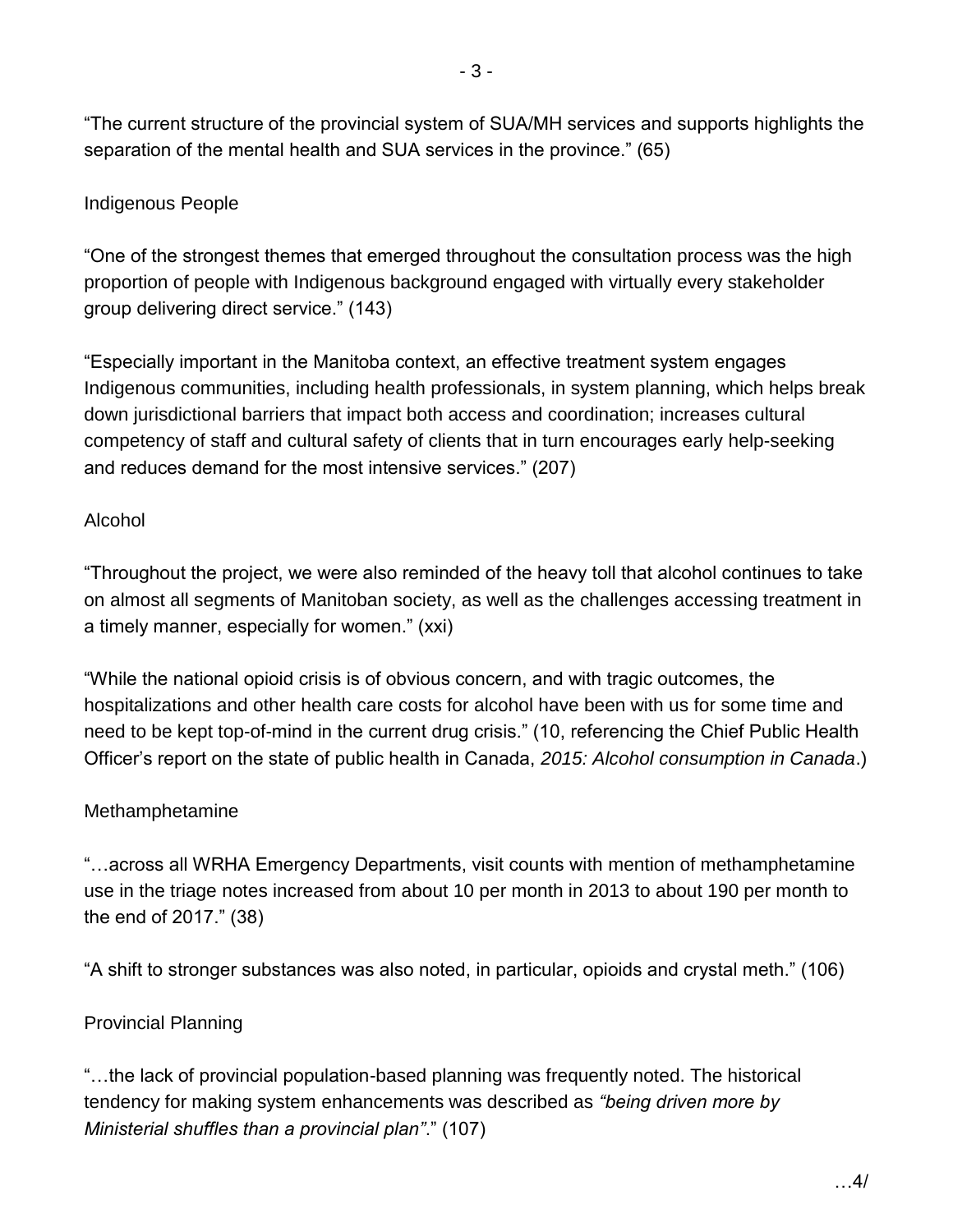"The current structure of the provincial system of SUA/MH services and supports highlights the separation of the mental health and SUA services in the province." (65)

## Indigenous People

"One of the strongest themes that emerged throughout the consultation process was the high proportion of people with Indigenous background engaged with virtually every stakeholder group delivering direct service." (143)

"Especially important in the Manitoba context, an effective treatment system engages Indigenous communities, including health professionals, in system planning, which helps break down jurisdictional barriers that impact both access and coordination; increases cultural competency of staff and cultural safety of clients that in turn encourages early help-seeking and reduces demand for the most intensive services." (207)

### Alcohol

"Throughout the project, we were also reminded of the heavy toll that alcohol continues to take on almost all segments of Manitoban society, as well as the challenges accessing treatment in a timely manner, especially for women." (xxi)

"While the national opioid crisis is of obvious concern, and with tragic outcomes, the hospitalizations and other health care costs for alcohol have been with us for some time and need to be kept top-of-mind in the current drug crisis." (10, referencing the Chief Public Health Officer's report on the state of public health in Canada, *2015: Alcohol consumption in Canada*.)

### Methamphetamine

"…across all WRHA Emergency Departments, visit counts with mention of methamphetamine use in the triage notes increased from about 10 per month in 2013 to about 190 per month to the end of 2017." (38)

"A shift to stronger substances was also noted, in particular, opioids and crystal meth." (106)

### Provincial Planning

"…the lack of provincial population-based planning was frequently noted. The historical tendency for making system enhancements was described as *"being driven more by Ministerial shuffles than a provincial plan"*." (107)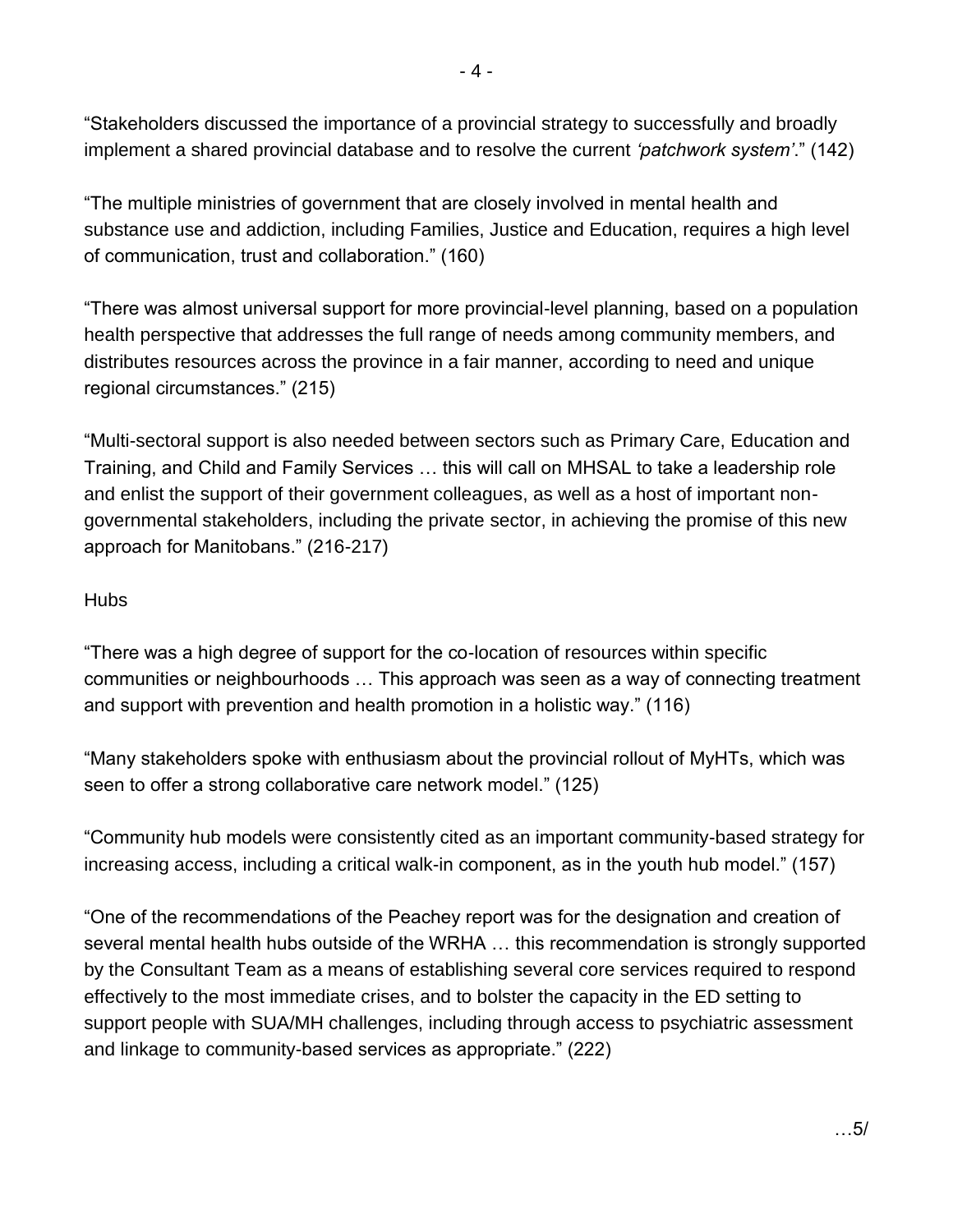"Stakeholders discussed the importance of a provincial strategy to successfully and broadly implement a shared provincial database and to resolve the current *'patchwork system'*." (142)

"The multiple ministries of government that are closely involved in mental health and substance use and addiction, including Families, Justice and Education, requires a high level of communication, trust and collaboration." (160)

"There was almost universal support for more provincial-level planning, based on a population health perspective that addresses the full range of needs among community members, and distributes resources across the province in a fair manner, according to need and unique regional circumstances." (215)

"Multi-sectoral support is also needed between sectors such as Primary Care, Education and Training, and Child and Family Services … this will call on MHSAL to take a leadership role and enlist the support of their government colleagues, as well as a host of important nongovernmental stakeholders, including the private sector, in achieving the promise of this new approach for Manitobans." (216-217)

### **Hubs**

"There was a high degree of support for the co-location of resources within specific communities or neighbourhoods … This approach was seen as a way of connecting treatment and support with prevention and health promotion in a holistic way." (116)

"Many stakeholders spoke with enthusiasm about the provincial rollout of MyHTs, which was seen to offer a strong collaborative care network model." (125)

"Community hub models were consistently cited as an important community-based strategy for increasing access, including a critical walk-in component, as in the youth hub model." (157)

"One of the recommendations of the Peachey report was for the designation and creation of several mental health hubs outside of the WRHA … this recommendation is strongly supported by the Consultant Team as a means of establishing several core services required to respond effectively to the most immediate crises, and to bolster the capacity in the ED setting to support people with SUA/MH challenges, including through access to psychiatric assessment and linkage to community-based services as appropriate." (222)